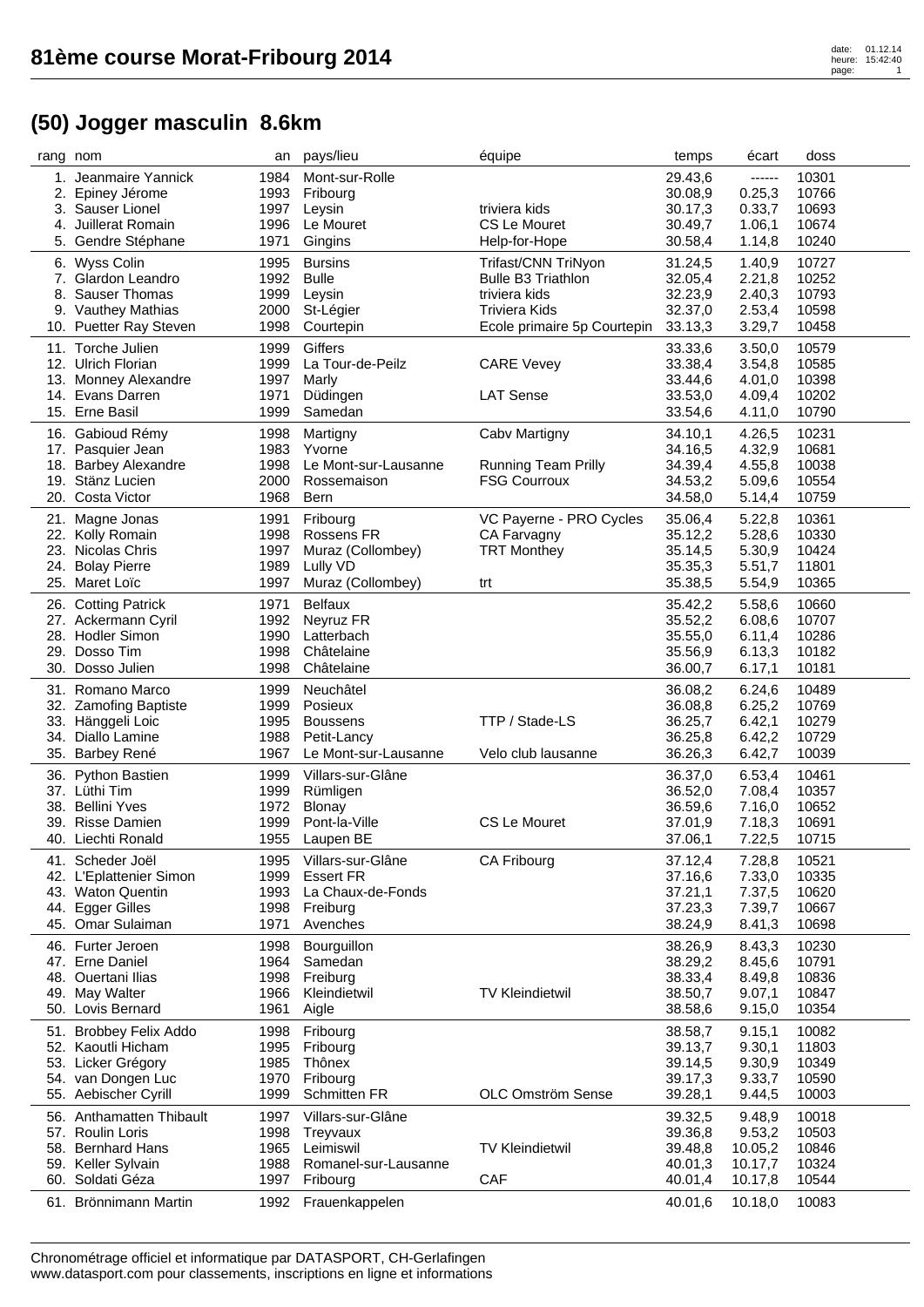| rang nom |                                           | an           | pays/lieu            | équipe                      | temps              | écart            | doss  |
|----------|-------------------------------------------|--------------|----------------------|-----------------------------|--------------------|------------------|-------|
| 1.       | Jeanmaire Yannick                         | 1984         | Mont-sur-Rolle       |                             | 29.43,6            | ------           | 10301 |
| 2.       | Epiney Jérome                             | 1993         | Fribourg             |                             | 30.08,9            | 0.25,3           | 10766 |
|          | 3. Sauser Lionel                          | 1997         | Leysin               | triviera kids               | 30.17.3            | 0.33,7           | 10693 |
| 4.       | Juillerat Romain                          | 1996         | Le Mouret            | CS Le Mouret                | 30.49,7            | 1.06,1           | 10674 |
|          | 5. Gendre Stéphane                        | 1971         | Gingins              | Help-for-Hope               | 30.58,4            | 1.14,8           | 10240 |
|          | 6. Wyss Colin                             | 1995         | <b>Bursins</b>       | Trifast/CNN TriNyon         | 31.24,5            | 1.40,9           | 10727 |
|          | 7. Glardon Leandro                        | 1992         | <b>Bulle</b>         | <b>Bulle B3 Triathlon</b>   | 32.05,4            | 2.21,8           | 10252 |
| 8.       | <b>Sauser Thomas</b>                      | 1999         | Leysin               | triviera kids               | 32.23,9            | 2.40,3           | 10793 |
|          | 9. Vauthey Mathias                        | 2000         | St-Légier            | <b>Triviera Kids</b>        | 32.37,0            | 2.53,4           | 10598 |
|          | 10. Puetter Ray Steven                    | 1998         | Courtepin            | Ecole primaire 5p Courtepin | 33.13,3            | 3.29,7           | 10458 |
|          | 11. Torche Julien                         | 1999         | Giffers              |                             | 33.33,6            | 3.50,0           | 10579 |
|          | 12. Ulrich Florian                        | 1999         | La Tour-de-Peilz     | <b>CARE Vevey</b>           | 33.38,4            | 3.54,8           | 10585 |
|          | 13. Monney Alexandre                      | 1997         | Marly                |                             | 33.44,6            | 4.01,0           | 10398 |
|          | 14. Evans Darren                          | 1971         | Düdingen             | <b>LAT Sense</b>            | 33.53,0            | 4.09,4           | 10202 |
|          | 15. Erne Basil                            | 1999         | Samedan              |                             | 33.54,6            | 4.11,0           | 10790 |
|          |                                           |              |                      |                             |                    |                  | 10231 |
|          | 16. Gabioud Rémy                          | 1998<br>1983 | Martigny<br>Yvorne   | Cabv Martigny               | 34.10,1            | 4.26,5           | 10681 |
|          | 17. Pasquier Jean<br>18. Barbey Alexandre | 1998         | Le Mont-sur-Lausanne | <b>Running Team Prilly</b>  | 34.16,5<br>34.39,4 | 4.32,9<br>4.55,8 | 10038 |
|          | 19. Stänz Lucien                          | 2000         | Rossemaison          | <b>FSG Courroux</b>         | 34.53,2            | 5.09,6           | 10554 |
|          | 20. Costa Victor                          | 1968         | Bern                 |                             | 34.58,0            | 5.14,4           | 10759 |
|          |                                           |              |                      |                             |                    |                  |       |
| 21.      | Magne Jonas                               | 1991         | Fribourg             | VC Payerne - PRO Cycles     | 35.06,4            | 5.22,8           | 10361 |
|          | 22. Kolly Romain                          | 1998         | Rossens FR           | CA Farvagny                 | 35.12,2            | 5.28,6           | 10330 |
|          | 23. Nicolas Chris                         | 1997         | Muraz (Collombey)    | <b>TRT Monthey</b>          | 35.14,5            | 5.30,9           | 10424 |
| 24.      | <b>Bolay Pierre</b>                       | 1989         | Lully VD             |                             | 35.35,3            | 5.51,7           | 11801 |
|          | 25. Maret Loïc                            | 1997         | Muraz (Collombey)    | trt                         | 35.38,5            | 5.54,9           | 10365 |
|          | 26. Cotting Patrick                       | 1971         | <b>Belfaux</b>       |                             | 35.42,2            | 5.58,6           | 10660 |
|          | 27. Ackermann Cyril                       | 1992         | Neyruz FR            |                             | 35.52,2            | 6.08,6           | 10707 |
|          | 28. Hodler Simon                          | 1990         | Latterbach           |                             | 35.55,0            | 6.11,4           | 10286 |
|          | 29. Dosso Tim                             | 1998         | Châtelaine           |                             | 35.56,9            | 6.13,3           | 10182 |
|          | 30. Dosso Julien                          | 1998         | Châtelaine           |                             | 36.00,7            | 6.17,1           | 10181 |
|          | 31. Romano Marco                          | 1999         | Neuchâtel            |                             | 36.08,2            | 6.24,6           | 10489 |
|          | 32. Zamofing Baptiste                     | 1999         | Posieux              |                             | 36.08,8            | 6.25,2           | 10769 |
|          | 33. Hänggeli Loic                         | 1995         | <b>Boussens</b>      | TTP / Stade-LS              | 36.25,7            | 6.42,1           | 10279 |
|          | 34. Diallo Lamine                         | 1988         | Petit-Lancy          |                             | 36.25,8            | 6.42,2           | 10729 |
|          | 35. Barbey René                           | 1967         | Le Mont-sur-Lausanne | Velo club lausanne          | 36.26,3            | 6.42,7           | 10039 |
|          | 36. Python Bastien                        | 1999         | Villars-sur-Glâne    |                             | 36.37,0            | 6.53,4           | 10461 |
|          | 37. Lüthi Tim                             | 1999         | Rümligen             |                             | 36.52,0            | 7.08,4           | 10357 |
|          | 38. Bellini Yves                          | 1972         | Blonay               |                             | 36.59,6            | 7.16,0           | 10652 |
| 39.      | <b>Risse Damien</b>                       | 1999         | Pont-la-Ville        | <b>CS Le Mouret</b>         | 37.01,9            | 7.18,3           | 10691 |
|          | 40. Liechti Ronald                        | 1955         | Laupen BE            |                             | 37.06,1            | 7.22,5           | 10715 |
|          |                                           |              |                      |                             |                    |                  |       |
|          | 41. Scheder Joël                          | 1995         | Villars-sur-Glâne    | CA Fribourg                 | 37.12,4            | 7.28,8           | 10521 |
|          | 42. L'Eplattenier Simon                   | 1999         | <b>Essert FR</b>     |                             | 37.16,6            | 7.33,0           | 10335 |
|          | 43. Waton Quentin                         | 1993         | La Chaux-de-Fonds    |                             | 37.21,1            | 7.37,5           | 10620 |
|          | 44. Egger Gilles<br>45. Omar Sulaiman     | 1998         | Freiburg             |                             | 37.23,3            | 7.39,7           | 10667 |
|          |                                           | 1971         | Avenches             |                             | 38.24,9            | 8.41,3           | 10698 |
|          | 46. Furter Jeroen                         | 1998         | Bourguillon          |                             | 38.26,9            | 8.43,3           | 10230 |
|          | 47. Erne Daniel                           | 1964         | Samedan              |                             | 38.29,2            | 8.45,6           | 10791 |
|          | 48. Ouertani Ilias                        | 1998         | Freiburg             |                             | 38.33,4            | 8.49,8           | 10836 |
|          | 49. May Walter                            | 1966         | Kleindietwil         | <b>TV Kleindietwil</b>      | 38.50,7            | 9.07,1           | 10847 |
|          | 50. Lovis Bernard                         | 1961         | Aigle                |                             | 38.58,6            | 9.15,0           | 10354 |
| 51.      | <b>Brobbey Felix Addo</b>                 | 1998         | Fribourg             |                             | 38.58,7            | 9.15,1           | 10082 |
|          | 52. Kaoutli Hicham                        | 1995         | Fribourg             |                             | 39.13,7            | 9.30,1           | 11803 |
|          | 53. Licker Grégory                        | 1985         | Thônex               |                             | 39.14,5            | 9.30,9           | 10349 |
| 54.      | van Dongen Luc                            | 1970         | Fribourg             |                             | 39.17,3            | 9.33,7           | 10590 |
|          | 55. Aebischer Cyrill                      | 1999         | <b>Schmitten FR</b>  | OLC Omström Sense           | 39.28,1            | 9.44,5           | 10003 |
|          | 56. Anthamatten Thibault                  | 1997         | Villars-sur-Glâne    |                             | 39.32,5            | 9.48,9           | 10018 |
| 57.      | <b>Roulin Loris</b>                       | 1998         | Treyvaux             |                             | 39.36,8            | 9.53,2           | 10503 |
| 58.      | <b>Bernhard Hans</b>                      | 1965         | Leimiswil            | <b>TV Kleindietwil</b>      | 39.48,8            | 10.05,2          | 10846 |
|          | 59. Keller Sylvain                        | 1988         | Romanel-sur-Lausanne |                             | 40.01,3            | 10.17,7          | 10324 |
|          | 60. Soldati Géza                          | 1997         | Fribourg             | CAF                         | 40.01,4            | 10.17,8          | 10544 |
|          | 61. Brönnimann Martin                     |              | Frauenkappelen       |                             | 40.01,6            | 10.18,0          | 10083 |
|          |                                           | 1992         |                      |                             |                    |                  |       |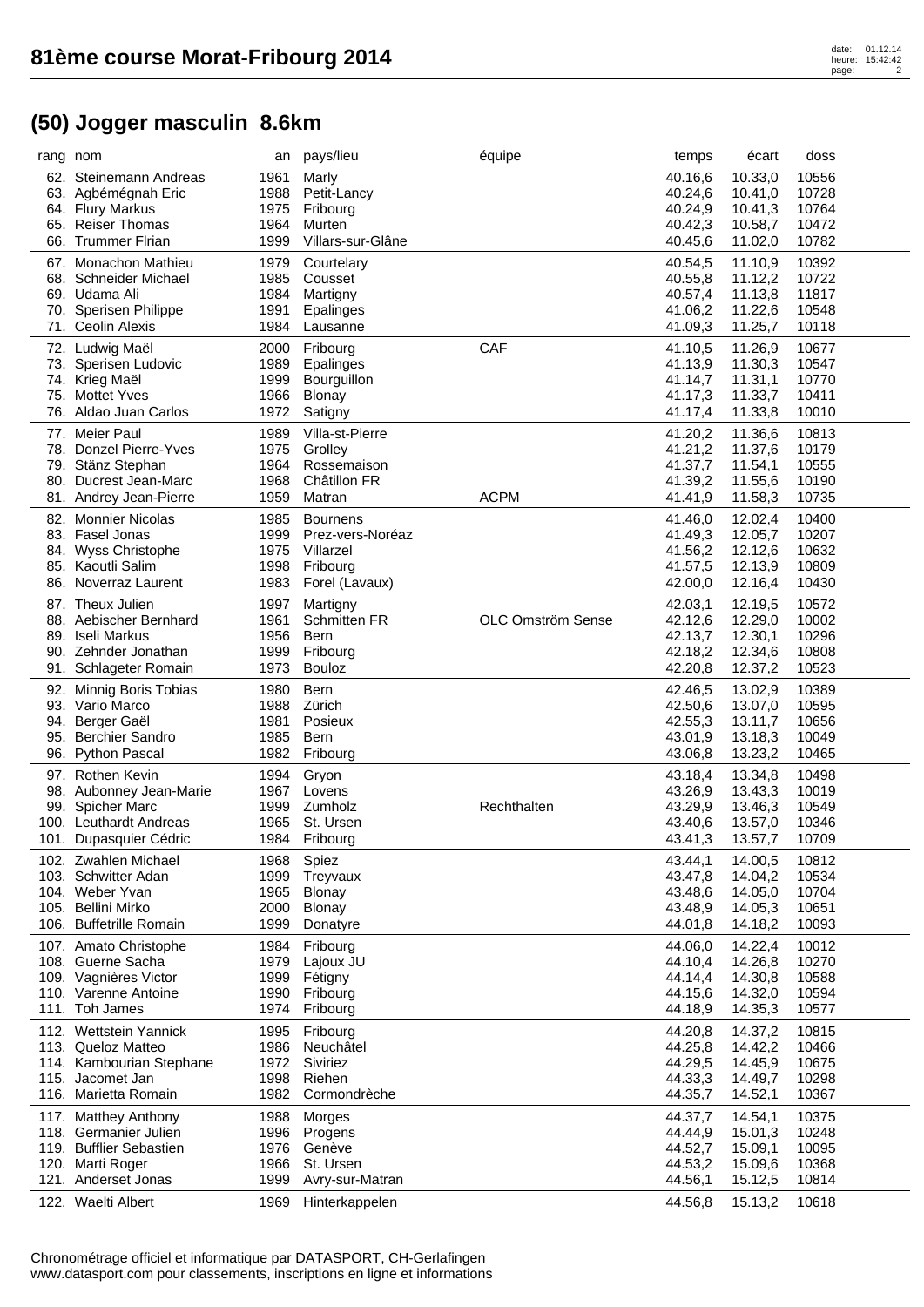## heure: 15:42:42 page: 2

| rang nom |                                       | an           | pays/lieu                 | équipe            | temps              | écart              | doss           |  |
|----------|---------------------------------------|--------------|---------------------------|-------------------|--------------------|--------------------|----------------|--|
|          | 62. Steinemann Andreas                | 1961         | Marly                     |                   | 40.16,6            | 10.33,0            | 10556          |  |
|          | 63. Agbémégnah Eric                   | 1988         | Petit-Lancy               |                   | 40.24,6            | 10.41,0            | 10728          |  |
|          | 64. Flury Markus                      | 1975         | Fribourg                  |                   | 40.24,9            | 10.41,3            | 10764          |  |
| 65.      | <b>Reiser Thomas</b>                  | 1964         | Murten                    |                   | 40.42,3            | 10.58,7            | 10472          |  |
|          | 66. Trummer Flrian                    | 1999         | Villars-sur-Glâne         |                   | 40.45,6            | 11.02,0            | 10782          |  |
|          | 67. Monachon Mathieu                  | 1979         | Courtelary                |                   | 40.54,5            | 11.10,9            | 10392          |  |
|          | 68. Schneider Michael                 | 1985         | Cousset                   |                   | 40.55,8            | 11.12,2            | 10722          |  |
|          | 69. Udama Ali                         | 1984         | Martigny                  |                   | 40.57,4            | 11.13,8            | 11817          |  |
|          | 70. Sperisen Philippe                 | 1991         | Epalinges                 |                   | 41.06,2            | 11.22,6            | 10548          |  |
|          | 71. Ceolin Alexis                     | 1984         | Lausanne                  |                   | 41.09,3            | 11.25,7            | 10118          |  |
|          |                                       |              |                           |                   |                    |                    |                |  |
|          | 72. Ludwig Maël                       | 2000         | Fribourg                  | CAF               | 41.10,5            | 11.26,9            | 10677          |  |
|          | 73. Sperisen Ludovic                  | 1989         | Epalinges                 |                   | 41.13,9            | 11.30,3            | 10547          |  |
|          | 74. Krieg Maël                        | 1999         | Bourguillon               |                   | 41.14,7            | 11.31,1            | 10770          |  |
|          | 75. Mottet Yves                       | 1966         | Blonay                    |                   | 41.17,3            | 11.33,7            | 10411          |  |
|          | 76. Aldao Juan Carlos                 | 1972         | Satigny                   |                   | 41.17,4            | 11.33,8            | 10010          |  |
|          | 77. Meier Paul                        | 1989         | Villa-st-Pierre           |                   | 41.20,2            | 11.36,6            | 10813          |  |
|          | 78. Donzel Pierre-Yves                | 1975         | Grolley                   |                   | 41.21,2            | 11.37,6            | 10179          |  |
|          | 79. Stänz Stephan                     | 1964         | Rossemaison               |                   | 41.37,7            | 11.54,1            | 10555          |  |
| 80.      | Ducrest Jean-Marc                     | 1968         | Châtillon FR              |                   | 41.39,2            | 11.55,6            | 10190          |  |
|          | 81. Andrey Jean-Pierre                | 1959         | Matran                    | <b>ACPM</b>       | 41.41,9            | 11.58,3            | 10735          |  |
| 82.      | <b>Monnier Nicolas</b>                | 1985         | <b>Bournens</b>           |                   | 41.46,0            | 12.02,4            | 10400          |  |
|          | 83. Fasel Jonas                       | 1999         | Prez-vers-Noréaz          |                   | 41.49,3            | 12.05,7            | 10207          |  |
|          | 84. Wyss Christophe                   | 1975         | Villarzel                 |                   | 41.56,2            | 12.12,6            | 10632          |  |
|          | 85. Kaoutli Salim                     | 1998         | Fribourg                  |                   | 41.57,5            | 12.13,9            | 10809          |  |
| 86.      | Noverraz Laurent                      | 1983         | Forel (Lavaux)            |                   | 42.00,0            | 12.16,4            | 10430          |  |
|          |                                       |              |                           |                   |                    |                    |                |  |
|          | 87. Theux Julien                      | 1997         | Martigny                  |                   | 42.03,1            | 12.19,5            | 10572          |  |
|          | 88. Aebischer Bernhard                | 1961         | <b>Schmitten FR</b>       | OLC Omström Sense | 42.12,6            | 12.29,0            | 10002          |  |
| 89.      | Iseli Markus                          | 1956         | Bern                      |                   | 42.13,7            | 12.30,1            | 10296          |  |
|          | 90. Zehnder Jonathan                  | 1999         | Fribourg                  |                   | 42.18,2            | 12.34,6            | 10808          |  |
|          | 91. Schlageter Romain                 | 1973         | <b>Bouloz</b>             |                   | 42.20,8            | 12.37,2            | 10523          |  |
|          | 92. Minnig Boris Tobias               | 1980         | Bern                      |                   | 42.46,5            | 13.02,9            | 10389          |  |
|          | 93. Vario Marco                       | 1988         | Zürich                    |                   | 42.50,6            | 13.07,0            | 10595          |  |
|          | 94. Berger Gaël                       | 1981         | Posieux                   |                   | 42.55,3            | 13.11,7            | 10656          |  |
| 95.      | <b>Berchier Sandro</b>                | 1985         | Bern                      |                   | 43.01,9            | 13.18,3            | 10049          |  |
|          | 96. Python Pascal                     | 1982         | Fribourg                  |                   | 43.06,8            | 13.23,2            | 10465          |  |
|          | 97. Rothen Kevin                      | 1994         | Gryon                     |                   | 43.18,4            | 13.34,8            | 10498          |  |
|          | 98. Aubonney Jean-Marie               | 1967         | Lovens                    |                   | 43.26,9            | 13.43,3            | 10019          |  |
|          | 99. Spicher Marc                      | 1999         | Zumholz                   | Rechthalten       | 43.29,9            | 13.46,3            | 10549          |  |
|          | 100. Leuthardt Andreas                | 1965         | St. Ursen                 |                   | 43.40,6            | 13.57,0            | 10346          |  |
|          | 101. Dupasquier Cédric                | 1984         | Fribourg                  |                   | 43.41,3            | 13.57,7            | 10709          |  |
|          |                                       |              |                           |                   |                    |                    |                |  |
|          | 102. Zwahlen Michael                  | 1968         | Spiez                     |                   | 43.44,1            | 14.00,5            | 10812          |  |
|          | 103. Schwitter Adan                   | 1999         | Treyvaux                  |                   | 43.47,8            | 14.04,2            | 10534          |  |
|          | 104. Weber Yvan<br>105. Bellini Mirko | 1965         | Blonay                    |                   | 43.48,6            | 14.05,0            | 10704          |  |
|          | 106. Buffetrille Romain               | 2000<br>1999 | <b>Blonay</b><br>Donatyre |                   | 43.48,9<br>44.01,8 | 14.05,3<br>14.18,2 | 10651<br>10093 |  |
|          |                                       |              |                           |                   |                    |                    |                |  |
|          | 107. Amato Christophe                 | 1984         | Fribourg                  |                   | 44.06,0            | 14.22,4            | 10012          |  |
|          | 108. Guerne Sacha                     | 1979         | Lajoux JU                 |                   | 44.10,4            | 14.26,8            | 10270          |  |
|          | 109. Vagnières Victor                 | 1999         | Fétigny                   |                   | 44.14,4            | 14.30,8            | 10588          |  |
|          | 110. Varenne Antoine                  | 1990         | Fribourg                  |                   | 44.15,6            | 14.32,0            | 10594          |  |
|          | 111. Toh James                        | 1974         | Fribourg                  |                   | 44.18,9            | 14.35,3            | 10577          |  |
|          | 112. Wettstein Yannick                | 1995         | Fribourg                  |                   | 44.20,8            | 14.37,2            | 10815          |  |
|          | 113. Queloz Matteo                    | 1986         | Neuchâtel                 |                   | 44.25,8            | 14.42,2            | 10466          |  |
|          | 114. Kambourian Stephane              | 1972         | Siviriez                  |                   | 44.29,5            | 14.45,9            | 10675          |  |
|          | 115. Jacomet Jan                      | 1998         | Riehen                    |                   | 44.33,3            | 14.49,7            | 10298          |  |
|          | 116. Marietta Romain                  | 1982         | Cormondrèche              |                   | 44.35,7            | 14.52,1            | 10367          |  |
|          | 117. Matthey Anthony                  | 1988         | Morges                    |                   | 44.37,7            | 14.54,1            | 10375          |  |
|          | 118. Germanier Julien                 | 1996         | Progens                   |                   | 44.44,9            | 15.01,3            | 10248          |  |
|          | 119. Bufflier Sebastien               | 1976         | Genève                    |                   | 44.52,7            | 15.09,1            | 10095          |  |
|          | 120. Marti Roger                      | 1966         | St. Ursen                 |                   | 44.53,2            | 15.09,6            | 10368          |  |
|          | 121. Anderset Jonas                   | 1999         | Avry-sur-Matran           |                   | 44.56,1            | 15.12,5            | 10814          |  |
|          |                                       |              |                           |                   |                    |                    |                |  |
|          | 122. Waelti Albert                    | 1969         | Hinterkappelen            |                   | 44.56,8            | 15.13,2            | 10618          |  |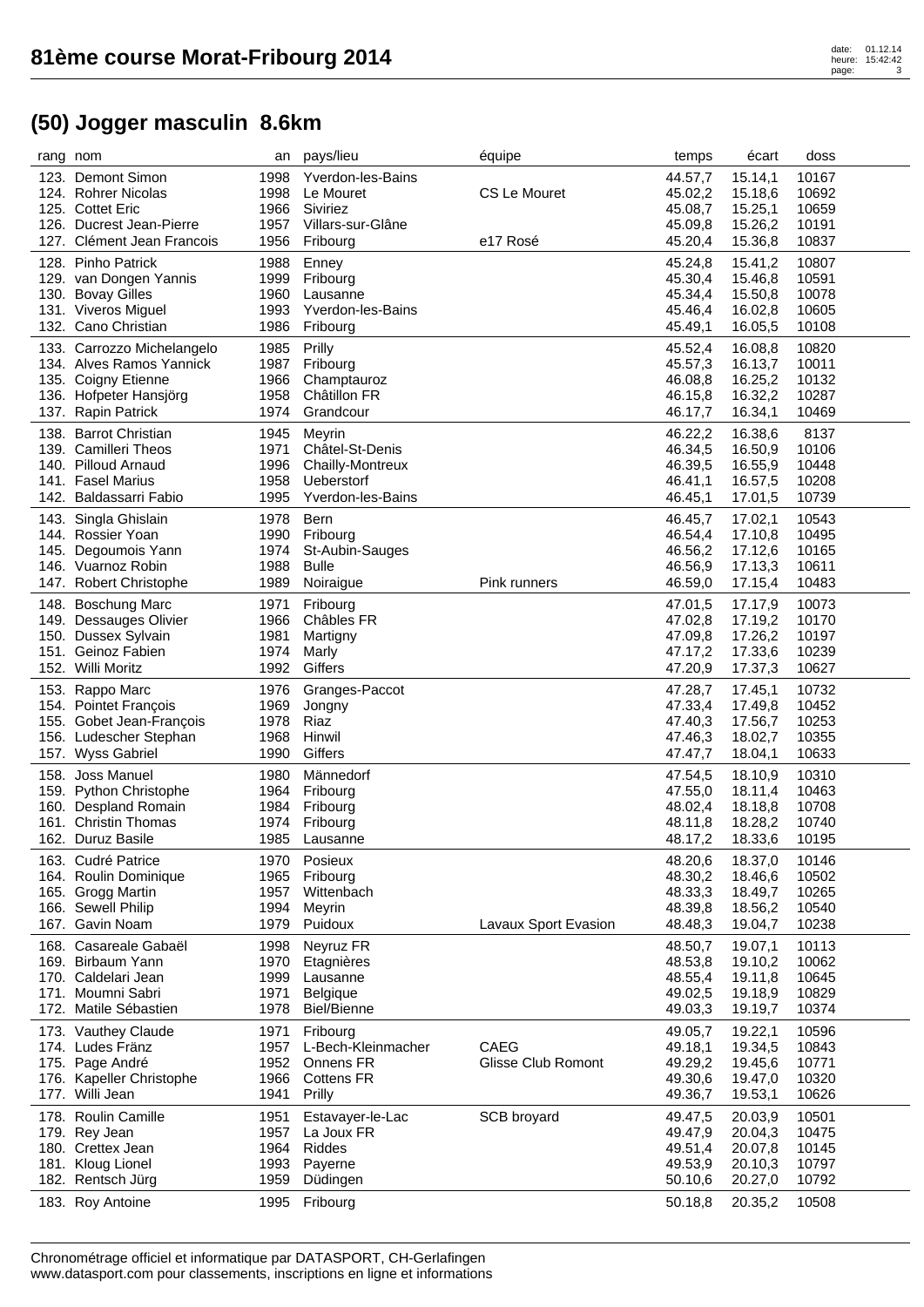| rang nom |                                    | an           | pays/lieu                      | équipe               | temps              | écart   | doss  |
|----------|------------------------------------|--------------|--------------------------------|----------------------|--------------------|---------|-------|
|          | 123. Demont Simon                  | 1998         | Yverdon-les-Bains              |                      | 44.57,7            | 15.14,1 | 10167 |
|          | 124. Rohrer Nicolas                | 1998         | Le Mouret                      | CS Le Mouret         | 45.02,2            | 15.18,6 | 10692 |
|          | 125. Cottet Eric                   | 1966         | Siviriez                       |                      | 45.08,7            | 15.25,1 | 10659 |
|          | 126. Ducrest Jean-Pierre           | 1957         | Villars-sur-Glâne              |                      | 45.09,8            | 15.26,2 | 10191 |
|          | 127. Clément Jean Francois         | 1956         | Fribourg                       | e17 Rosé             | 45.20,4            | 15.36,8 | 10837 |
|          | 128. Pinho Patrick                 | 1988         | Enney                          |                      | 45.24,8            | 15.41,2 | 10807 |
|          | 129. van Dongen Yannis             | 1999         | Fribourg                       |                      | 45.30,4            | 15.46,8 | 10591 |
|          | 130. Bovay Gilles                  | 1960         | Lausanne                       |                      | 45.34,4            | 15.50,8 | 10078 |
|          | 131. Viveros Miguel                | 1993         | Yverdon-les-Bains              |                      | 45.46,4            | 16.02,8 | 10605 |
|          | 132. Cano Christian                | 1986         | Fribourg                       |                      | 45.49,1            | 16.05,5 | 10108 |
|          |                                    |              |                                |                      |                    |         |       |
|          | 133. Carrozzo Michelangelo         | 1985         | Prilly                         |                      | 45.52,4            | 16.08,8 | 10820 |
|          | 134. Alves Ramos Yannick           | 1987         | Fribourg                       |                      | 45.57,3            | 16.13,7 | 10011 |
|          | 135. Coigny Etienne                | 1966         | Champtauroz                    |                      | 46.08,8            | 16.25,2 | 10132 |
|          | 136. Hofpeter Hansjörg             | 1958         | Châtillon FR                   |                      | 46.15,8            | 16.32,2 | 10287 |
|          | 137. Rapin Patrick                 | 1974         | Grandcour                      |                      | 46.17,7            | 16.34,1 | 10469 |
|          | 138. Barrot Christian              | 1945         | Meyrin                         |                      | 46.22,2            | 16.38,6 | 8137  |
|          | 139. Camilleri Theos               | 1971         | Châtel-St-Denis                |                      | 46.34,5            | 16.50,9 | 10106 |
|          | 140. Pilloud Arnaud                | 1996         | Chailly-Montreux               |                      | 46.39,5            | 16.55,9 | 10448 |
|          | 141. Fasel Marius                  | 1958         | Ueberstorf                     |                      | 46.41,1            | 16.57,5 | 10208 |
|          | 142. Baldassarri Fabio             | 1995         | <b>Yverdon-les-Bains</b>       |                      | 46.45,1            | 17.01,5 | 10739 |
|          | 143. Singla Ghislain               | 1978         | <b>Bern</b>                    |                      | 46.45,7            | 17.02,1 | 10543 |
|          | 144. Rossier Yoan                  | 1990         | Fribourg                       |                      | 46.54,4            | 17.10,8 | 10495 |
|          | 145. Degoumois Yann                | 1974         | St-Aubin-Sauges                |                      | 46.56,2            | 17.12,6 | 10165 |
|          | 146. Vuarnoz Robin                 | 1988         | <b>Bulle</b>                   |                      | 46.56,9            | 17.13,3 | 10611 |
|          | 147. Robert Christophe             | 1989         | Noiraigue                      | Pink runners         | 46.59,0            | 17.15,4 | 10483 |
|          |                                    |              |                                |                      |                    |         |       |
|          | 148. Boschung Marc                 | 1971         | Fribourg                       |                      | 47.01,5            | 17.17,9 | 10073 |
|          | 149. Dessauges Olivier             | 1966         | Châbles FR                     |                      | 47.02,8            | 17.19,2 | 10170 |
|          | 150. Dussex Sylvain                | 1981         | Martigny                       |                      | 47.09,8            | 17.26,2 | 10197 |
|          | 151. Geinoz Fabien                 | 1974         | Marly                          |                      | 47.17,2            | 17.33,6 | 10239 |
|          | 152. Willi Moritz                  | 1992         | Giffers                        |                      | 47.20,9            | 17.37,3 | 10627 |
|          | 153. Rappo Marc                    | 1976         | Granges-Paccot                 |                      | 47.28,7            | 17.45,1 | 10732 |
|          | 154. Pointet François              | 1969         | Jongny                         |                      | 47.33,4            | 17.49,8 | 10452 |
|          | 155. Gobet Jean-François           | 1978         | Riaz                           |                      | 47.40,3            | 17.56,7 | 10253 |
|          | 156. Ludescher Stephan             | 1968         | Hinwil                         |                      | 47.46,3            | 18.02,7 | 10355 |
|          | 157. Wyss Gabriel                  | 1990         | Giffers                        |                      | 47.47,7            | 18.04,1 | 10633 |
|          | 158. Joss Manuel                   | 1980         | Männedorf                      |                      | 47.54,5            | 18.10,9 | 10310 |
|          | 159. Python Christophe             | 1964         | Fribourg                       |                      | 47.55,0            | 18.11,4 | 10463 |
|          | 160. Despland Romain               | 1984         | Fribourg                       |                      | 48.02,4            | 18.18,8 | 10708 |
|          | 161. Christin Thomas               | 1974         | Fribourg                       |                      | 48.11,8            | 18.28,2 | 10740 |
|          | 162. Duruz Basile                  | 1985         | Lausanne                       |                      | 48.17,2            | 18.33,6 | 10195 |
|          |                                    |              |                                |                      |                    |         |       |
|          | 163. Cudré Patrice                 | 1970         | Posieux                        |                      | 48.20,6            | 18.37,0 | 10146 |
|          | 164. Roulin Dominique              | 1965         | Fribourg                       |                      | 48.30,2            | 18.46,6 | 10502 |
|          | 165. Grogg Martin                  | 1957         | Wittenbach                     |                      | 48.33,3            | 18.49,7 | 10265 |
|          | 166. Sewell Philip                 | 1994         | Meyrin                         | Lavaux Sport Evasion | 48.39,8            | 18.56,2 | 10540 |
|          | 167. Gavin Noam                    | 1979         | Puidoux                        |                      | 48.48,3            | 19.04,7 | 10238 |
|          | 168. Casareale Gabaël              | 1998         | Neyruz FR                      |                      | 48.50,7            | 19.07,1 | 10113 |
|          | 169. Birbaum Yann                  | 1970         | Etagnières                     |                      | 48.53,8            | 19.10,2 | 10062 |
|          | 170. Caldelari Jean                | 1999         | Lausanne                       |                      | 48.55,4            | 19.11,8 | 10645 |
|          | 171. Moumni Sabri                  | 1971         | <b>Belgique</b>                |                      | 49.02,5            | 19.18,9 | 10829 |
|          | 172. Matile Sébastien              | 1978         | <b>Biel/Bienne</b>             |                      | 49.03,3            | 19.19,7 | 10374 |
|          | 173. Vauthey Claude                | 1971         | Fribourg                       |                      | 49.05,7            | 19.22,1 | 10596 |
|          | 174. Ludes Fränz                   | 1957         | L-Bech-Kleinmacher             | <b>CAEG</b>          | 49.18,1            | 19.34,5 | 10843 |
|          | 175. Page André                    | 1952         | Onnens FR                      | Glisse Club Romont   | 49.29,2            | 19.45,6 | 10771 |
|          | 176. Kapeller Christophe           | 1966         | <b>Cottens FR</b>              |                      | 49.30,6            | 19.47,0 | 10320 |
|          | 177. Willi Jean                    | 1941         | Prilly                         |                      | 49.36,7            | 19.53,1 | 10626 |
|          | 178. Roulin Camille                |              |                                | SCB broyard          |                    |         | 10501 |
|          |                                    | 1951<br>1957 | Estavayer-le-Lac<br>La Joux FR |                      | 49.47,5<br>49.47,9 | 20.03,9 | 10475 |
|          | 179. Rey Jean<br>180. Crettex Jean | 1964         | Riddes                         |                      |                    | 20.04,3 |       |
|          |                                    |              |                                |                      | 49.51,4<br>49.53,9 | 20.07,8 | 10145 |
|          | 181. Kloug Lionel                  | 1993         | Payerne                        |                      |                    | 20.10,3 | 10797 |
|          | 182. Rentsch Jürg                  | 1959         | Düdingen                       |                      | 50.10,6            | 20.27,0 | 10792 |
|          | 183. Roy Antoine                   | 1995         | Fribourg                       |                      | 50.18,8            | 20.35,2 | 10508 |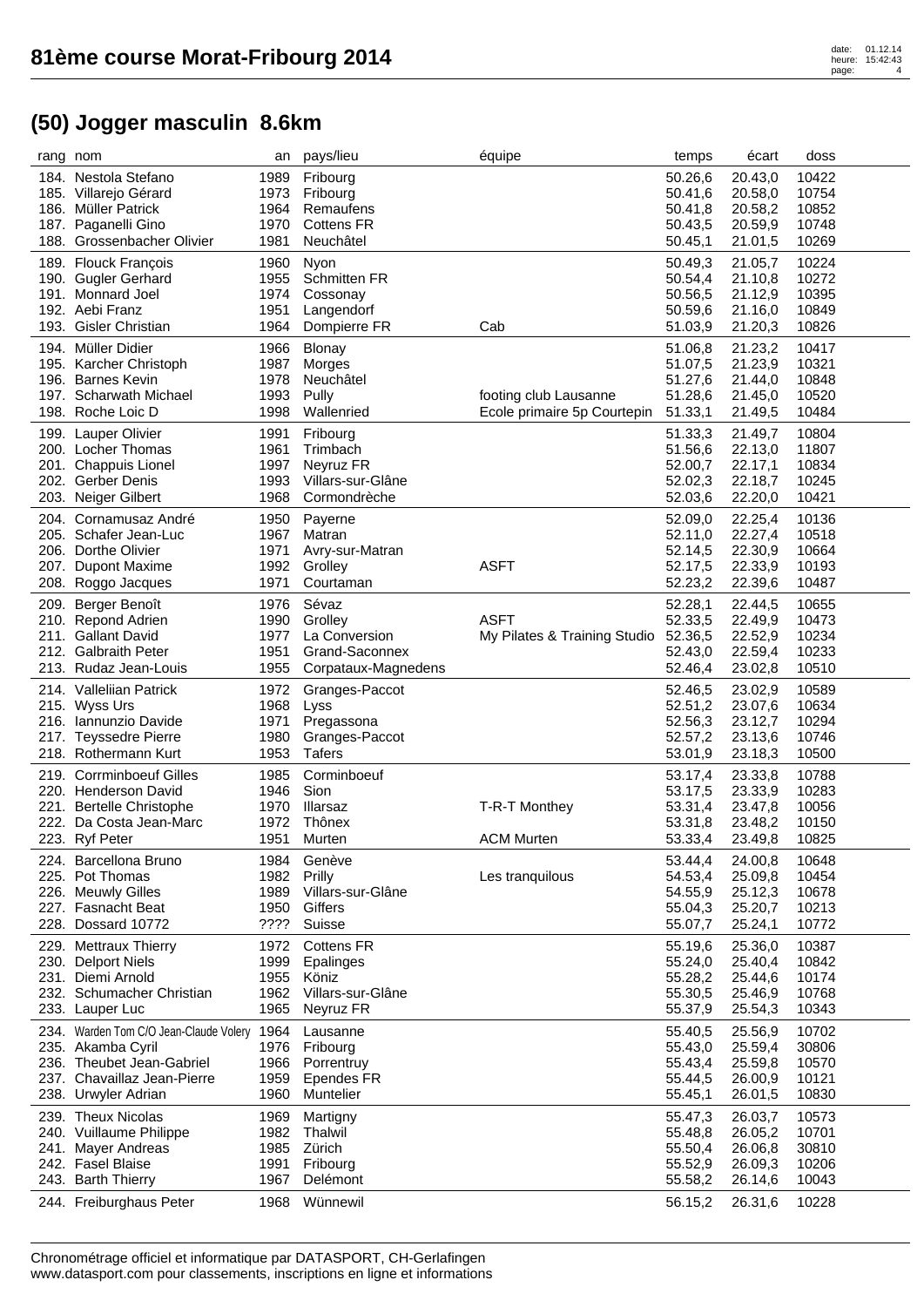|      | rang nom                               | an   | pays/lieu           | équipe                       | temps              | écart   | doss  |
|------|----------------------------------------|------|---------------------|------------------------------|--------------------|---------|-------|
|      | 184. Nestola Stefano                   | 1989 | Fribourg            |                              | 50.26,6            | 20.43,0 | 10422 |
|      | 185. Villarejo Gérard                  | 1973 | Fribourg            |                              | 50.41,6            | 20.58,0 | 10754 |
|      | 186. Müller Patrick                    | 1964 | Remaufens           |                              | 50.41,8            | 20.58,2 | 10852 |
|      | 187. Paganelli Gino                    | 1970 | <b>Cottens FR</b>   |                              | 50.43,5            | 20.59,9 | 10748 |
|      | 188. Grossenbacher Olivier             | 1981 | Neuchâtel           |                              | 50.45,1            | 21.01,5 | 10269 |
|      | 189. Flouck François                   | 1960 | Nyon                |                              | 50.49,3            | 21.05,7 | 10224 |
|      | 190. Gugler Gerhard                    | 1955 | <b>Schmitten FR</b> |                              | 50.54,4            | 21.10,8 | 10272 |
|      | 191. Monnard Joel                      | 1974 | Cossonay            |                              | 50.56,5            | 21.12,9 | 10395 |
|      | 192. Aebi Franz                        | 1951 | Langendorf          |                              | 50.59,6            | 21.16,0 | 10849 |
| 193. | <b>Gisler Christian</b>                | 1964 | Dompierre FR        | Cab                          | 51.03,9            | 21.20,3 | 10826 |
|      |                                        |      |                     |                              |                    |         |       |
|      | 194. Müller Didier                     | 1966 | <b>Blonay</b>       |                              | 51.06,8            | 21.23,2 | 10417 |
|      | 195. Karcher Christoph                 | 1987 | Morges              |                              | 51.07,5            | 21.23,9 | 10321 |
| 196. | <b>Barnes Kevin</b>                    | 1978 | Neuchâtel           |                              | 51.27,6            | 21.44,0 | 10848 |
|      | 197. Scharwath Michael                 | 1993 | Pully               | footing club Lausanne        | 51.28,6            | 21.45,0 | 10520 |
|      | 198. Roche Loic D                      | 1998 | Wallenried          | Ecole primaire 5p Courtepin  | 51.33,1            | 21.49,5 | 10484 |
|      | 199. Lauper Olivier                    | 1991 | Fribourg            |                              | 51.33,3            | 21.49,7 | 10804 |
|      | 200. Locher Thomas                     | 1961 | Trimbach            |                              | 51.56,6            | 22.13,0 | 11807 |
|      | 201. Chappuis Lionel                   | 1997 | Neyruz FR           |                              | 52.00,7            | 22.17,1 | 10834 |
|      | 202. Gerber Denis                      | 1993 | Villars-sur-Glâne   |                              | 52.02,3            | 22.18,7 | 10245 |
| 203. | Neiger Gilbert                         | 1968 | Cormondrèche        |                              | 52.03,6            | 22.20,0 | 10421 |
| 204. | Cornamusaz André                       | 1950 | Payerne             |                              | 52.09,0            | 22.25,4 | 10136 |
|      | 205. Schafer Jean-Luc                  | 1967 | Matran              |                              | 52.11,0            | 22.27,4 | 10518 |
|      | 206. Dorthe Olivier                    | 1971 | Avry-sur-Matran     |                              |                    | 22.30,9 | 10664 |
|      | 207. Dupont Maxime                     | 1992 | Grolley             | <b>ASFT</b>                  | 52.14,5<br>52.17,5 | 22.33,9 | 10193 |
|      | 208. Roggo Jacques                     | 1971 | Courtaman           |                              | 52.23,2            | 22.39,6 | 10487 |
|      |                                        |      |                     |                              |                    |         |       |
|      | 209. Berger Benoît                     | 1976 | Sévaz               |                              | 52.28,1            | 22.44,5 | 10655 |
|      | 210. Repond Adrien                     | 1990 | Grolley             | <b>ASFT</b>                  | 52.33,5            | 22.49,9 | 10473 |
|      | 211. Gallant David                     | 1977 | La Conversion       | My Pilates & Training Studio | 52.36,5            | 22.52,9 | 10234 |
|      | 212. Galbraith Peter                   | 1951 | Grand-Saconnex      |                              | 52.43,0            | 22.59,4 | 10233 |
|      | 213. Rudaz Jean-Louis                  | 1955 | Corpataux-Magnedens |                              | 52.46,4            | 23.02,8 | 10510 |
|      | 214. Valleliian Patrick                | 1972 | Granges-Paccot      |                              | 52.46,5            | 23.02,9 | 10589 |
|      | 215. Wyss Urs                          | 1968 | Lyss                |                              | 52.51,2            | 23.07,6 | 10634 |
|      | 216. Iannunzio Davide                  | 1971 | Pregassona          |                              | 52.56,3            | 23.12,7 | 10294 |
|      | 217. Teyssedre Pierre                  | 1980 | Granges-Paccot      |                              | 52.57,2            | 23.13,6 | 10746 |
|      | 218. Rothermann Kurt                   | 1953 | <b>Tafers</b>       |                              | 53.01,9            | 23.18,3 | 10500 |
|      | 219. Corrminboeuf Gilles               | 1985 | Corminboeuf         |                              | 53.17,4            | 23.33,8 | 10788 |
|      | 220. Henderson David                   | 1946 | Sion                |                              | 53.17,5            | 23.33,9 | 10283 |
|      | 221. Bertelle Christophe               | 1970 | <b>Illarsaz</b>     | T-R-T Monthey                | 53.31,4            | 23.47,8 | 10056 |
|      | 222. Da Costa Jean-Marc                | 1972 | Thônex              |                              | 53.31,8            | 23.48,2 | 10150 |
|      | 223. Ryf Peter                         | 1951 | Murten              | <b>ACM Murten</b>            | 53.33,4            | 23.49,8 | 10825 |
|      |                                        |      |                     |                              |                    |         |       |
|      | 224. Barcellona Bruno                  | 1984 | Genève              |                              | 53.44,4            | 24.00,8 | 10648 |
|      | 225. Pot Thomas                        | 1982 | Prilly              | Les tranquilous              | 54.53,4            | 25.09,8 | 10454 |
|      | 226. Meuwly Gilles                     | 1989 | Villars-sur-Glâne   |                              | 54.55,9            | 25.12,3 | 10678 |
|      | 227. Fasnacht Beat                     | 1950 | Giffers             |                              | 55.04,3            | 25.20,7 | 10213 |
| 228. | Dossard 10772                          | ???? | Suisse              |                              | 55.07,7            | 25.24,1 | 10772 |
|      | 229. Mettraux Thierry                  | 1972 | <b>Cottens FR</b>   |                              | 55.19,6            | 25.36,0 | 10387 |
|      | 230. Delport Niels                     | 1999 | Epalinges           |                              | 55.24,0            | 25.40,4 | 10842 |
| 231. | Diemi Arnold                           | 1955 | Köniz               |                              | 55.28,2            | 25.44,6 | 10174 |
| 232. | Schumacher Christian                   | 1962 | Villars-sur-Glâne   |                              | 55.30,5            | 25.46,9 | 10768 |
| 233. | Lauper Luc                             | 1965 | Neyruz FR           |                              | 55.37,9            | 25.54,3 | 10343 |
|      | 234. Warden Tom C/O Jean-Claude Volery | 1964 | Lausanne            |                              | 55.40,5            | 25.56,9 | 10702 |
|      | 235. Akamba Cyril                      | 1976 | Fribourg            |                              | 55.43,0            | 25.59,4 | 30806 |
|      | 236. Theubet Jean-Gabriel              | 1966 | Porrentruy          |                              | 55.43,4            | 25.59,8 | 10570 |
| 237. | Chavaillaz Jean-Pierre                 | 1959 | Ependes FR          |                              | 55.44,5            | 26.00,9 | 10121 |
| 238. | Urwyler Adrian                         | 1960 | Muntelier           |                              | 55.45,1            | 26.01,5 | 10830 |
|      |                                        |      |                     |                              |                    |         |       |
|      | 239. Theux Nicolas                     | 1969 | Martigny            |                              | 55.47,3            | 26.03,7 | 10573 |
|      | 240. Vuillaume Philippe                | 1982 | Thalwil             |                              | 55.48,8            | 26.05,2 | 10701 |
|      | 241. Mayer Andreas                     | 1985 | Zürich              |                              | 55.50,4            | 26.06,8 | 30810 |
|      | 242. Fasel Blaise                      | 1991 | Fribourg            |                              | 55.52,9            | 26.09,3 | 10206 |
|      | 243. Barth Thierry                     | 1967 | Delémont            |                              | 55.58,2            | 26.14,6 | 10043 |
|      | 244. Freiburghaus Peter                | 1968 | Wünnewil            |                              | 56.15,2            | 26.31,6 | 10228 |
|      |                                        |      |                     |                              |                    |         |       |